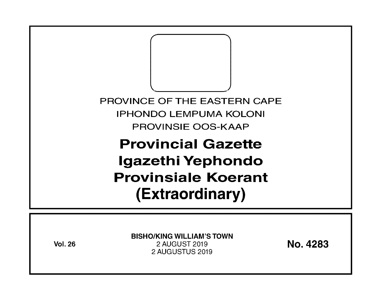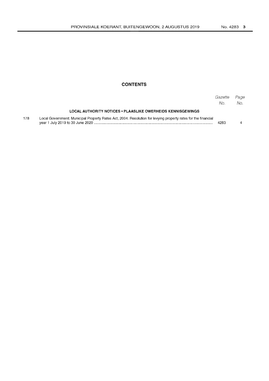### **CONTENTS**

|     |                                                                                                               | Gazette<br>No. | Page<br>No. |
|-----|---------------------------------------------------------------------------------------------------------------|----------------|-------------|
|     | LOCAL AUTHORITY NOTICES • PLAASLIKE OWERHEIDS KENNISGEWINGS                                                   |                |             |
| 178 | Local Government: Municipal Property Rates Act, 2004: Resolution for levying property rates for the financial | 4283           |             |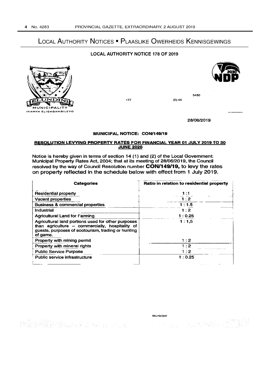# LOCAL AUTHORITY NOTICES • PLAASLIKE OWERHEIDS KENNISGEWINGS

## LOCAL AUTHORITY NOTICE 178 OF 2019





+27 (0)45

28106/2019

5480

#### MUNICIPAL NOTICE: CONl149/19

#### RESOLUTION LEVYING PROPERTY RATES FOR FINANCIAL YEAR 01 JULY 2019 TO 30 **JUNE 2020**

Notice is hereby given in terms of section 14 (1) and (2) of the Local Government: Municipal Property Rates Act, 2004; that at its meeting of 28/0612019. the Council resolved by the way of Council Resolution number CON/149/19, to levy the rates on property reflected in the schedule below with effect from 1 July 2019.

| <b>Categories</b>                                                                                                                                                       | Ratio in relation to residential property |
|-------------------------------------------------------------------------------------------------------------------------------------------------------------------------|-------------------------------------------|
| <b>Residential property</b>                                                                                                                                             | 1:1                                       |
| Vacant properties                                                                                                                                                       | 1:2                                       |
| <b>Business &amp; commercial properties</b>                                                                                                                             | 1:1.5                                     |
| <b>Industrial</b>                                                                                                                                                       | 1:2                                       |
| <b>Agricultural Land for Farming</b>                                                                                                                                    | 1:0.25                                    |
| Agricultural land portions used for other purposes<br>than agriculture - commercially, hospitality of<br>guests, purposes of ecotourism, trading or hunting<br>of game. | 1:1.5                                     |
| Property with mining permit                                                                                                                                             | 1:2                                       |
| Property with mineral rights                                                                                                                                            | $\cdot$ 2                                 |
| <b>Public Service Purpose</b>                                                                                                                                           | 1:2                                       |
| Public service infrastructure                                                                                                                                           | 1:0.25                                    |

 $\begin{bmatrix} \frac{1}{2} & 0 & 0 & 0 \\ 0 & 0 & 0 & 0 \\ 0 & 0 & 0 & 0 \\ 0 & 0 & 0 & 0 \\ \end{bmatrix} \begin{bmatrix} \frac{1}{2} & 0 & 0 \\ 0 & 0 & 0 \\ 0 & 0 & 0 \\ 0 & 0 & 0 \\ \end{bmatrix} \begin{bmatrix} \frac{1}{2} & 0 & 0 \\ 0 & 0 & 0 \\ 0 & 0 & 0 \\ 0 & 0 & 0 \\ \end{bmatrix} \begin{bmatrix} \frac{1}{2} & 0 & 0 \\ 0 & 0 & 0 \\ 0 & 0 & 0 \\ 0 & 0 & 0 \\ \end$ 

Municipal